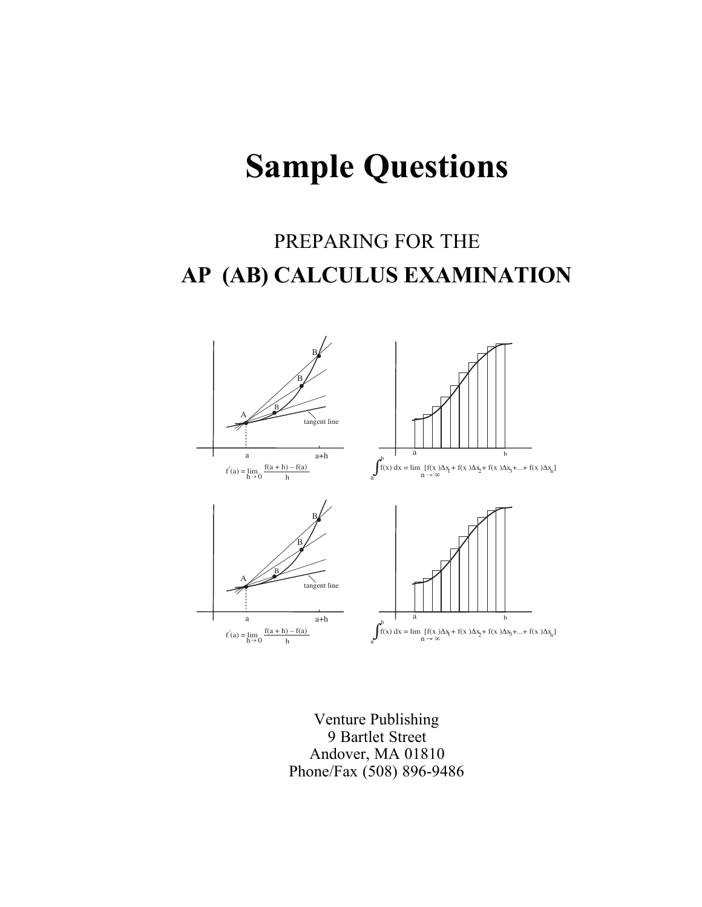# **Sample Questions**

# PREPARING FOR THE **AP (AB) CALCULUS EXAMINATION**



Venture Publishing 9 Bartlet Street Andover, MA 01810 Phone/Fax (508) 896-9486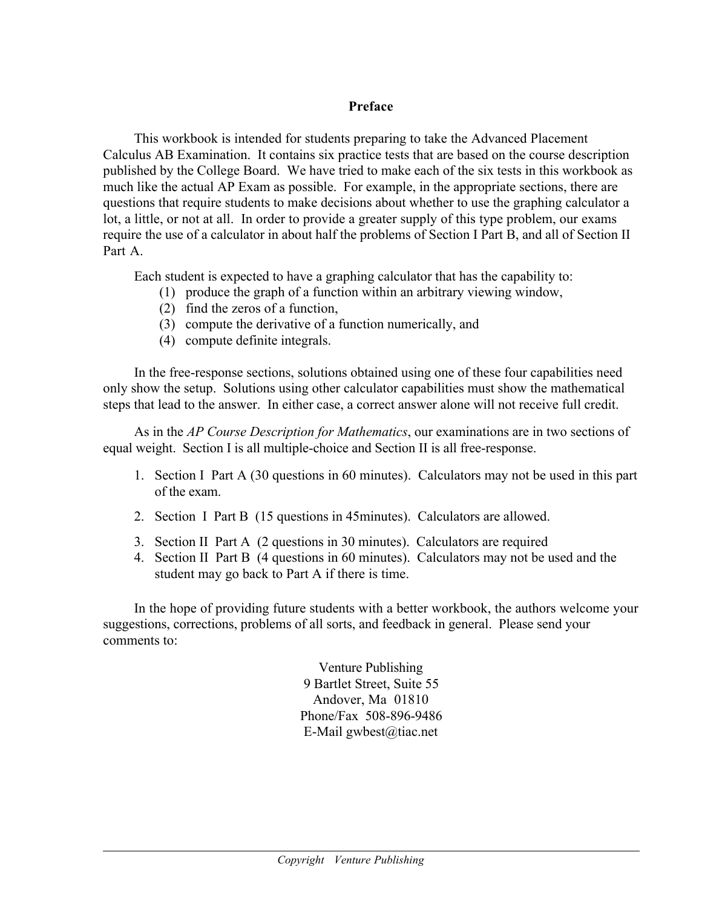# **Preface**

This workbook is intended for students preparing to take the Advanced Placement Calculus AB Examination. It contains six practice tests that are based on the course description published by the College Board. We have tried to make each of the six tests in this workbook as much like the actual AP Exam as possible. For example, in the appropriate sections, there are questions that require students to make decisions about whether to use the graphing calculator a lot, a little, or not at all. In order to provide a greater supply of this type problem, our exams require the use of a calculator in about half the problems of Section I Part B, and all of Section II Part A.

Each student is expected to have a graphing calculator that has the capability to:

- (1) produce the graph of a function within an arbitrary viewing window,
- (2) find the zeros of a function,
- (3) compute the derivative of a function numerically, and
- (4) compute definite integrals.

 $\overline{a}$ 

In the free-response sections, solutions obtained using one of these four capabilities need only show the setup. Solutions using other calculator capabilities must show the mathematical steps that lead to the answer. In either case, a correct answer alone will not receive full credit.

As in the *AP Course Description for Mathematics*, our examinations are in two sections of equal weight. Section I is all multiple-choice and Section II is all free-response.

- 1. Section I Part A (30 questions in 60 minutes). Calculators may not be used in this part of the exam.
- 2. Section I Part B (15 questions in 45minutes). Calculators are allowed.
- 3. Section II Part A (2 questions in 30 minutes). Calculators are required
- 4. Section II Part B (4 questions in 60 minutes). Calculators may not be used and the student may go back to Part A if there is time.

In the hope of providing future students with a better workbook, the authors welcome your suggestions, corrections, problems of all sorts, and feedback in general. Please send your comments to:

> Venture Publishing 9 Bartlet Street, Suite 55 Andover, Ma 01810 Phone/Fax 508-896-9486 E-Mail gwbest@tiac.net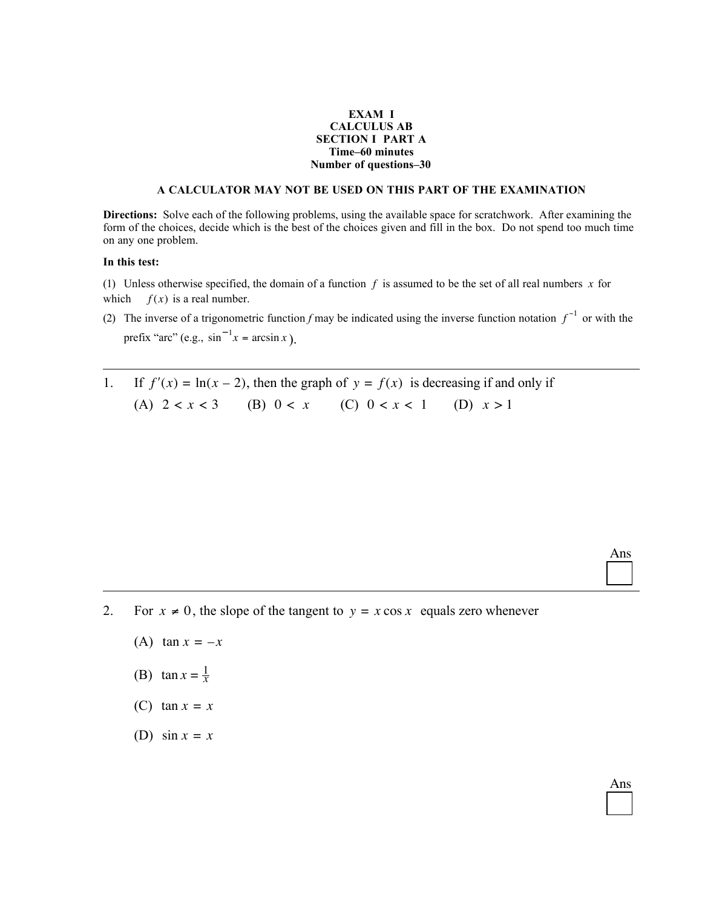#### **EXAM I CALCULUS AB SECTION I PART A Time–60 minutes Number of questions–30**

## **A CALCULATOR MAY NOT BE USED ON THIS PART OF THE EXAMINATION**

**Directions:** Solve each of the following problems, using the available space for scratchwork. After examining the form of the choices, decide which is the best of the choices given and fill in the box. Do not spend too much time on any one problem.

#### **In this test:**

 $\overline{a}$ 

 $\overline{a}$ 

- (1) Unless otherwise specified, the domain of a function  $f$  is assumed to be the set of all real numbers  $x$  for which  $f(x)$  is a real number.
- (2) The inverse of a trigonometric function *f* may be indicated using the inverse function notation  $f^{-1}$  or with the prefix "arc" (e.g.,  $\sin^{-1} x = \arcsin x$ ).
- 1. If  $f'(x) = \ln(x 2)$ , then the graph of  $y = f(x)$  is decreasing if and only if (A)  $2 < x < 3$  (B)  $0 < x$  (C)  $0 < x < 1$  (D)  $x > 1$

- 2. For  $x \neq 0$ , the slope of the tangent to  $y = x \cos x$  equals zero whenever
	- (A) tan  $x = -x$
	- (B)  $\tan x = \frac{1}{x}$
	- (C) tan  $x = x$
	- (D)  $\sin x = x$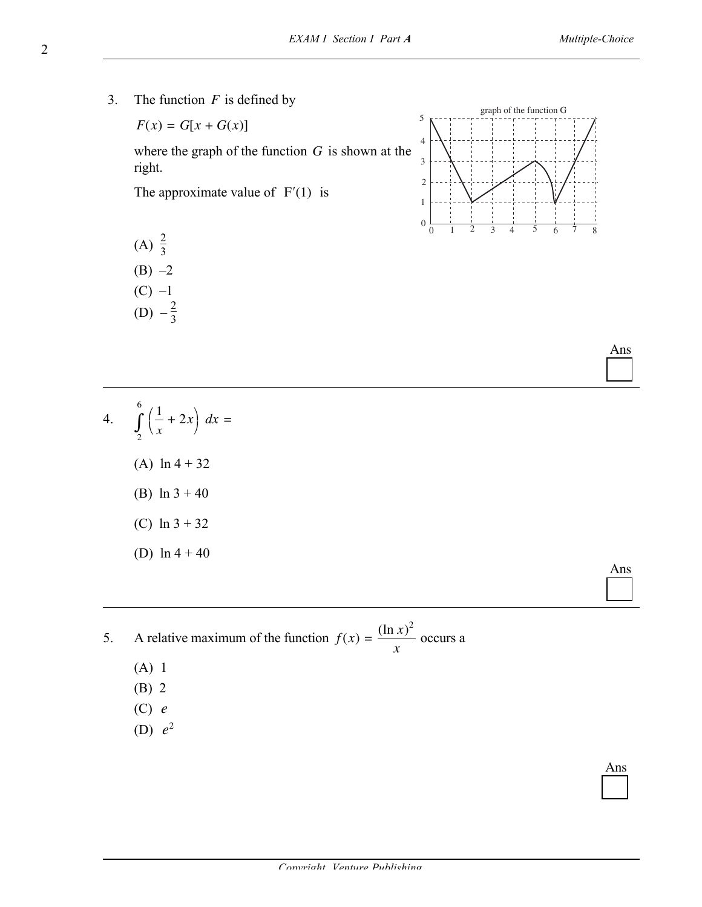3. The function *F* is defined by

 $F(x) = G[x + G(x)]$ 

where the graph of the function *G* is shown at the right.

The approximate value of  $F'(1)$  is

(A)  $\frac{2}{3}$ 

 $\overline{a}$ 

2

- $(B) -2$
- $(C) -1$
- (D)  $-\frac{2}{3}$

 $\overline{a}$ 

 $\overline{a}$ 



Ans

4. 
$$
\int_{2}^{6} \left(\frac{1}{x} + 2x\right) dx =
$$
  
(A) ln 4 + 32  
(B) ln 3 + 40  
(C) ln 3 + 32  
(D) ln 4 + 40

Ans

5. A relative maximum of the function  $f(x) = \frac{(\ln x)^2}{x^2}$ *x*  $f(x) = \frac{(\ln x)^2}{x}$  occurs a

- (A) 1
- (B) 2
- (C) *e*
- (D)  $e^2$

 $\overline{a}$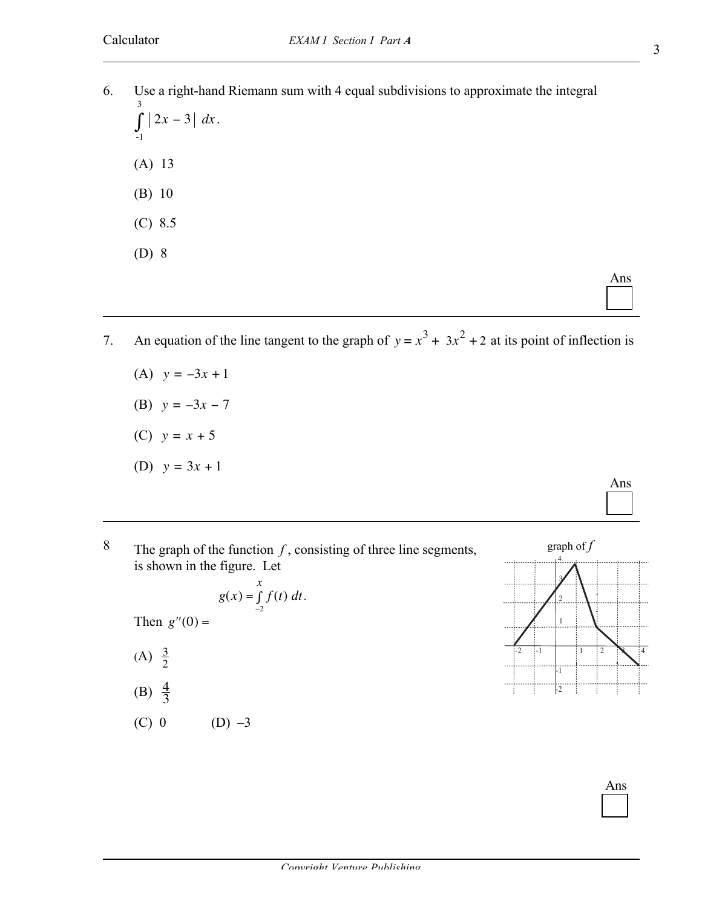$\overline{a}$ 

 $\overline{a}$ 

6. Use a right-hand Riemann sum with 4 equal subdivisions to approximate the integral  $2x - 3$ 1 3  $\int_{-1}$  | 2x – 3 | dx . (A) 13 (B) 10 (C) 8.5 (D) 8 Ans

- 7. An equation of the line tangent to the graph of  $y = x^3 + 3x^2 + 2$  at its point of inflection is
	- (A)  $y = -3x + 1$
	- (B)  $y = -3x 7$
	- (C)  $y = x + 5$

(D) 
$$
y = 3x + 1
$$

8 The graph of the function  $f$ , consisting of three line segments, is shown in the figure. Let

.

 $g(x) = \int f(t) dt$ *x*  $(x) = \int f(t)$  $=\int_{-2}$ Then  $g''(0) =$ (A)  $\frac{3}{2}$ (B)  $\frac{4}{3}$ 

(C) 0 (D) 
$$
-3
$$

 $\overline{a}$ 



Ans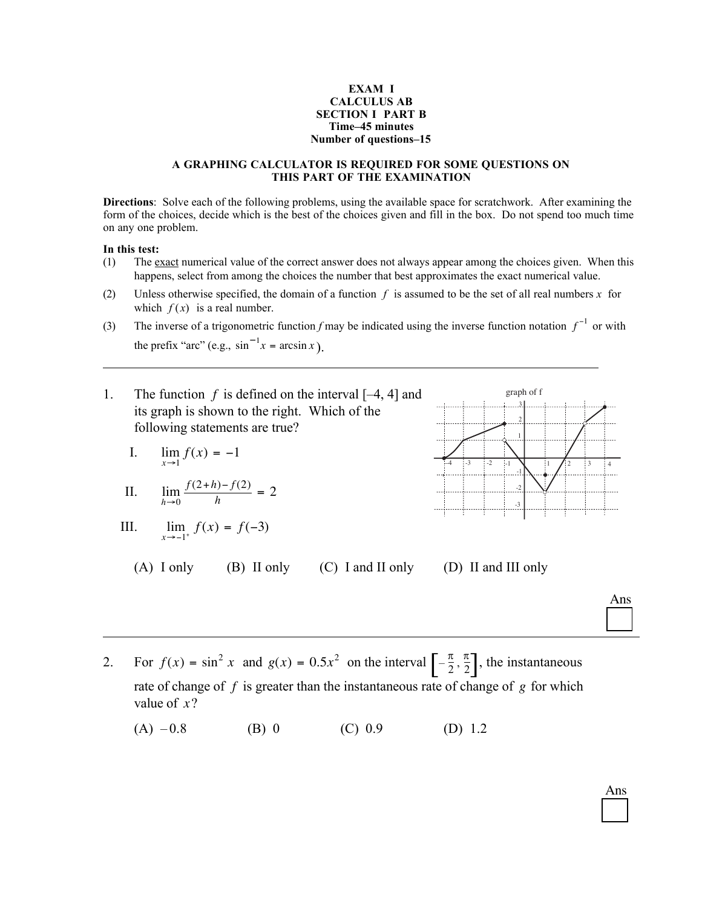#### **EXAM I CALCULUS AB SECTION I PART B Time–45 minutes Number of questions–15**

#### **A GRAPHING CALCULATOR IS REQUIRED FOR SOME QUESTIONS ON THIS PART OF THE EXAMINATION**

**Directions**: Solve each of the following problems, using the available space for scratchwork. After examining the form of the choices, decide which is the best of the choices given and fill in the box. Do not spend too much time on any one problem.

#### **In this test:**

 $\overline{a}$ 

 $\overline{a}$ 

- (1) The exact numerical value of the correct answer does not always appear among the choices given. When this happens, select from among the choices the number that best approximates the exact numerical value.
- (2) Unless otherwise specified, the domain of a function  $f$  is assumed to be the set of all real numbers  $x$  for which  $f(x)$  is a real number.
- (3) The inverse of a trigonometric function  $f$  may be indicated using the inverse function notation  $f^{-1}$  or with the prefix "arc" (e.g.,  $\sin^{-1}x = \arcsin x$ ).
- 1. The function  $f$  is defined on the interval  $[-4, 4]$  and its graph is shown to the right. Which of the following statements are true?
	- I.  $\lim_{x \to 1} f(x) = -1$
	- II.  $\lim_{h \to 0} \frac{f(2+h) f(2)}{h}$  $f(2+h)-f$  $\lim_{h \to 0} \frac{f(2+h)-f(2)}{h} = 2$

III. 
$$
\lim_{x \to -1^+} f(x) = f(-3)
$$

(A) I only (B) II only (C) I and II only (D) II and III only





Ans

2. For  $f(x) = \sin^2 x$  and  $g(x) = 0.5x^2$  on the interval  $\left[-\frac{\pi}{2}, \frac{\pi}{2}\right]$ , the instantaneous rate of change of *f* is greater than the instantaneous rate of change of *g* for which value of *x*?

 $(A) -0.8$  (B) 0 (C) 0.9 (D) 1.2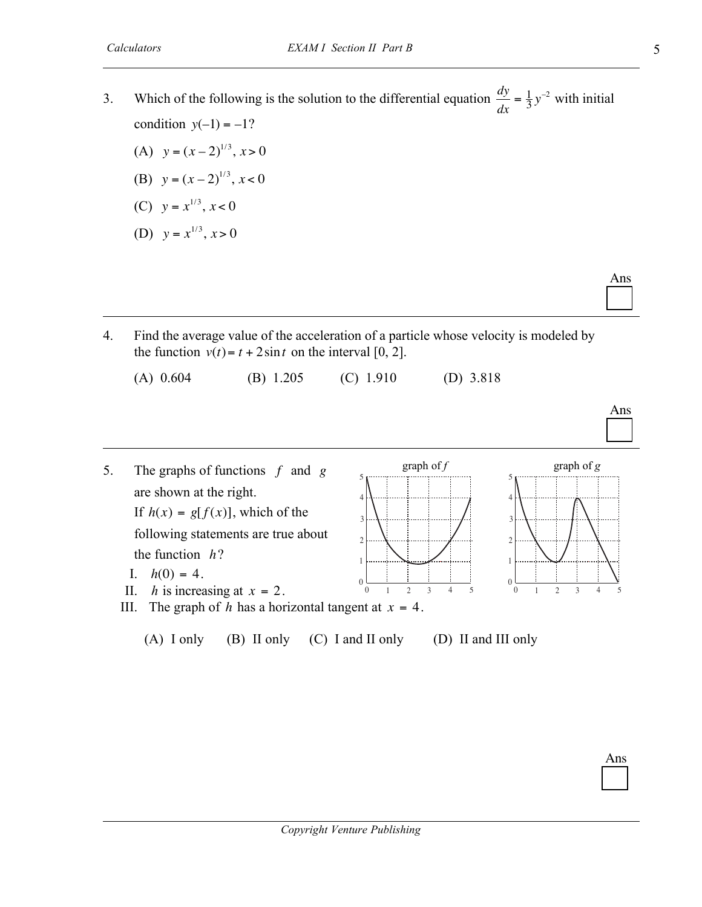$\overline{a}$ 

 $\overline{a}$ 

 $\overline{a}$ 

- 3. Which of the following is the solution to the differential equation  $\frac{dy}{dx} = \frac{1}{3}y$  $^{-2}$  with initial condition  $y(-1) = -1$ ?
	- (A)  $y=(x-2)^{1/3}, x>0$
	- (B)  $y=(x-2)^{1/3}, x<0$
	- (C)  $y = x^{1/3}, x < 0$
	- (D)  $y = x^{1/3}, x > 0$
- 4. Find the average value of the acceleration of a particle whose velocity is modeled by the function  $v(t) = t + 2\sin t$  on the interval [0, 2].



5. The graphs of functions *f* and *g* are shown at the right. If  $h(x) = g[f(x)]$ , which of the following statements are true about the function *h*? I.  $h(0) = 4$ . II. *h* is increasing at  $x = 2$ . graph of *f* 1 2 3 4 1 5 2 3 4 5 0 0 graph of *g* 1 2 3 4 1 5 2 3 4 5 0 0 III. The graph of *h* has a horizontal tangent at  $x = 4$ .

(A) I only (B) II only (C) I and II only (D) II and III only

Ans

Ans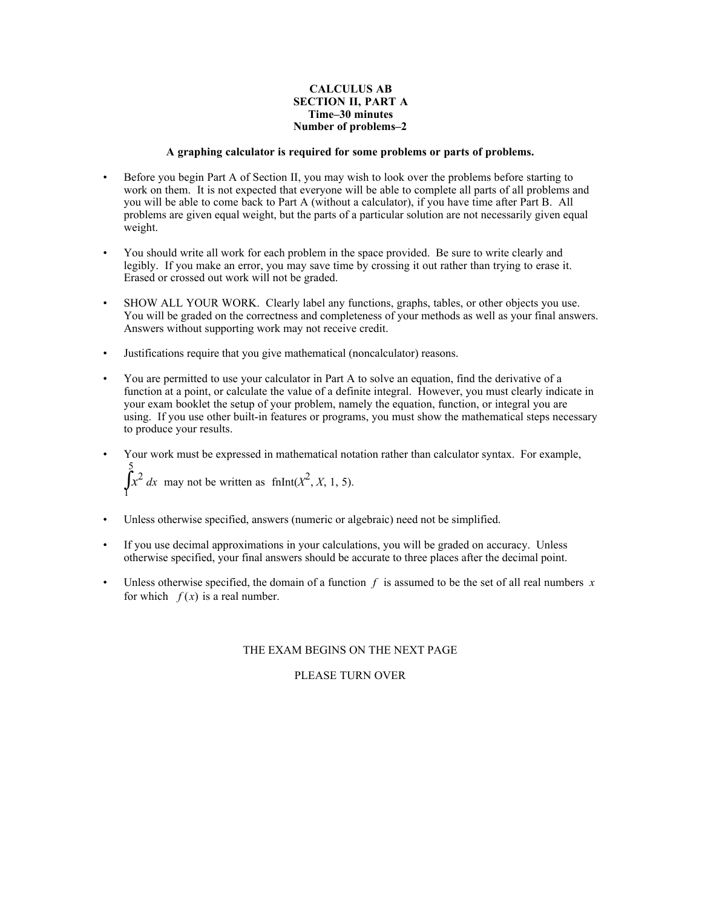#### **CALCULUS AB SECTION II, PART A Time–30 minutes Number of problems–2**

#### **A graphing calculator is required for some problems or parts of problems.**

- Before you begin Part A of Section II, you may wish to look over the problems before starting to work on them. It is not expected that everyone will be able to complete all parts of all problems and you will be able to come back to Part A (without a calculator), if you have time after Part B. All problems are given equal weight, but the parts of a particular solution are not necessarily given equal weight.
- You should write all work for each problem in the space provided. Be sure to write clearly and legibly. If you make an error, you may save time by crossing it out rather than trying to erase it. Erased or crossed out work will not be graded.
- SHOW ALL YOUR WORK. Clearly label any functions, graphs, tables, or other objects you use. You will be graded on the correctness and completeness of your methods as well as your final answers. Answers without supporting work may not receive credit.
- Justifications require that you give mathematical (noncalculator) reasons.
- You are permitted to use your calculator in Part A to solve an equation, find the derivative of a function at a point, or calculate the value of a definite integral. However, you must clearly indicate in your exam booklet the setup of your problem, namely the equation, function, or integral you are using. If you use other built-in features or programs, you must show the mathematical steps necessary to produce your results.
- Your work must be expressed in mathematical notation rather than calculator syntax. For example, ∫ 1 5  $\int x^2 dx$  may not be written as fnInt( $X^2$ , *X*, 1, 5).
- Unless otherwise specified, answers (numeric or algebraic) need not be simplified.
- If you use decimal approximations in your calculations, you will be graded on accuracy. Unless otherwise specified, your final answers should be accurate to three places after the decimal point.
- Unless otherwise specified, the domain of a function *f* is assumed to be the set of all real numbers *x* for which  $f(x)$  is a real number.

#### THE EXAM BEGINS ON THE NEXT PAGE

#### PLEASE TURN OVER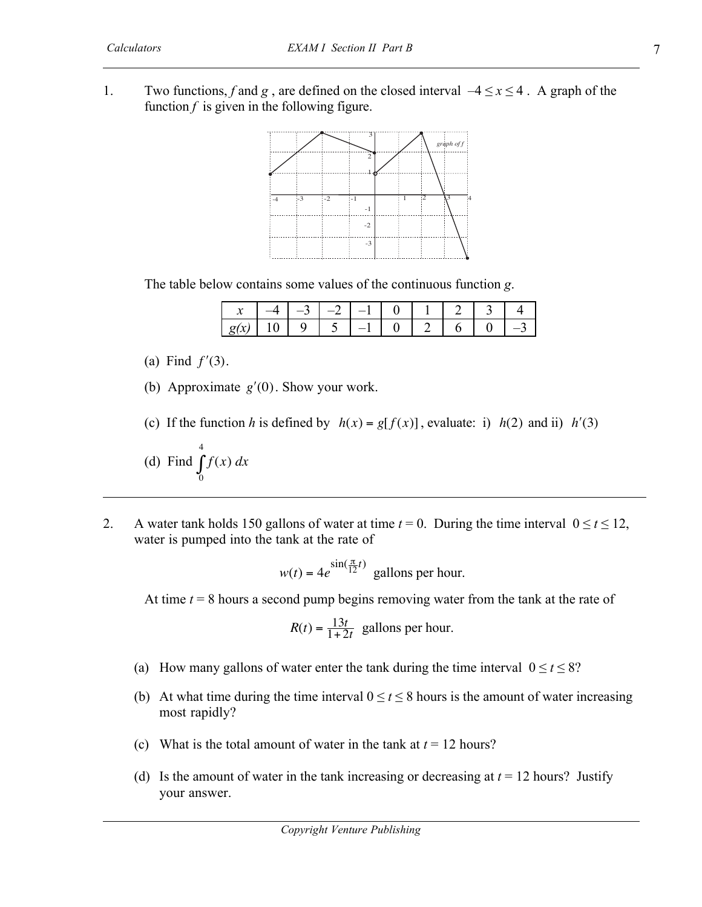$\overline{a}$ 

 $\overline{a}$ 

1. Two functions, f and g, are defined on the closed interval  $-4 \le x \le 4$ . A graph of the function  $f$  is given in the following figure.



The table below contains some values of the continuous function *g*.

| - - |    |  |  |  |  |
|-----|----|--|--|--|--|
|     | -9 |  |  |  |  |

- (a) Find  $f'(3)$ .
- (b) Approximate  $g'(0)$ . Show your work.
- (c) If the function *h* is defined by  $h(x) = g[f(x)]$ , evaluate: i)  $h(2)$  and ii)  $h'(3)$

(d) Find 
$$
\int_{0}^{4} f(x) dx
$$

2. A water tank holds 150 gallons of water at time  $t = 0$ . During the time interval  $0 \le t \le 12$ , water is pumped into the tank at the rate of

$$
w(t) = 4e^{\sin(\frac{\pi}{12}t)} \text{ gallons per hour.}
$$

At time *t* = 8 hours a second pump begins removing water from the tank at the rate of

$$
R(t) = \frac{13t}{1+2t}
$$
 gallons per hour.

- (a) How many gallons of water enter the tank during the time interval  $0 \le t \le 8$ ?
- (b) At what time during the time interval  $0 \le t \le 8$  hours is the amount of water increasing most rapidly?
- (c) What is the total amount of water in the tank at  $t = 12$  hours?
- (d) Is the amount of water in the tank increasing or decreasing at  $t = 12$  hours? Justify your answer.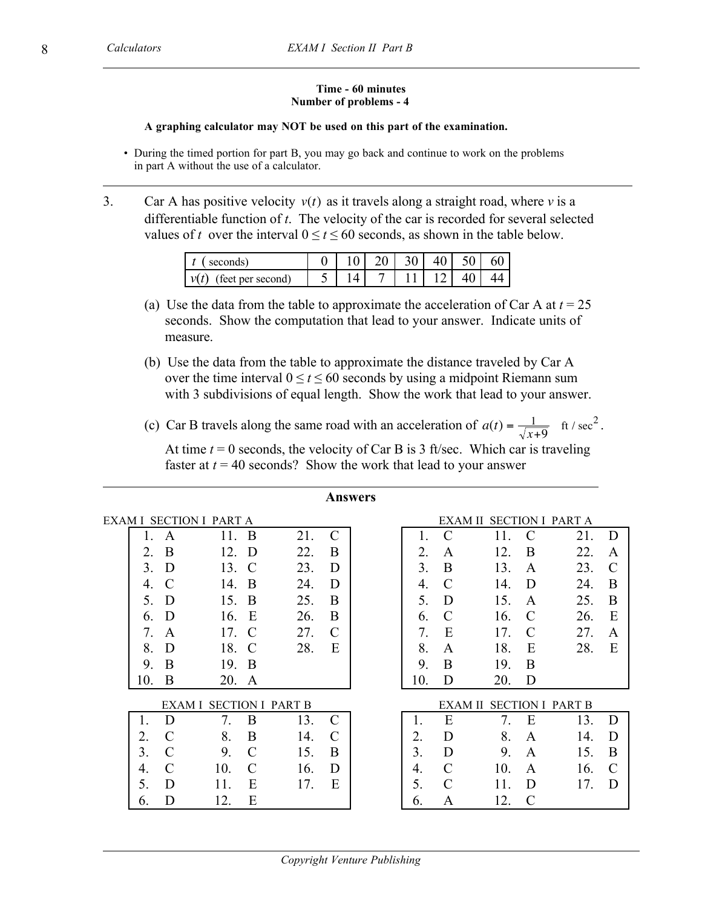$\overline{a}$ 

 $\overline{a}$ 

 $\overline{a}$ 

## **Time - 60 minutes Number of problems - 4**

# **A graphing calculator may NOT be used on this part of the examination.**

- During the timed portion for part B, you may go back and continue to work on the problems in part A without the use of a calculator.
- 3. Car A has positive velocity  $v(t)$  as it travels along a straight road, where *v* is a differentiable function of *t*. The velocity of the car is recorded for several selected values of *t* over the interval  $0 \le t \le 60$  seconds, as shown in the table below.

| нc                              | ັ | ີ | ◡ | $\mathbf{\Omega}$<br>ັ | ∼ |  |
|---------------------------------|---|---|---|------------------------|---|--|
| $\mathbf{1}$<br>second)<br>ner. | ັ |   |   |                        | ◡ |  |

- (a) Use the data from the table to approximate the acceleration of Car A at  $t = 25$ seconds. Show the computation that lead to your answer. Indicate units of measure.
- (b) Use the data from the table to approximate the distance traveled by Car A over the time interval  $0 \le t \le 60$  seconds by using a midpoint Riemann sum with 3 subdivisions of equal length. Show the work that lead to your answer.
- (c) Car B travels along the same road with an acceleration of  $a(t) = \frac{1}{\sqrt{x+9}}$  ft / sec<sup>2</sup>.

At time  $t = 0$  seconds, the velocity of Car B is 3 ft/sec. Which car is traveling faster at  $t = 40$  seconds? Show the work that lead to your answer

|                                      |     |               |  |                         |     |  |     |               | Allswers |     |   |                          |                  |        |               |
|--------------------------------------|-----|---------------|--|-------------------------|-----|--|-----|---------------|----------|-----|---|--------------------------|------------------|--------|---------------|
|                                      |     |               |  | EXAM I SECTION I PART A |     |  |     |               |          |     |   | EXAM II SECTION I PART A |                  |        |               |
|                                      |     | A             |  | 11.                     | B   |  | 21. | C             |          |     | C | 11.                      | C                | 21.    | D             |
|                                      | 2.  | B             |  | 12.                     | D   |  | 22. | B             |          | 2.  | A | 12.                      | B                | 22.    | A             |
|                                      | 3.  | D             |  | 13.                     | C   |  | 23. | D             |          | 3.  | B | 13.                      | A                | 23.    | $\mathcal{C}$ |
|                                      | 4.  | $\mathcal{C}$ |  | 14.                     | B   |  | 24. | D             |          | 4.  | C | 14.                      | D                | 24.    | B             |
|                                      | 5.  | D             |  | 15.                     | B   |  | 25. | B             |          | 5.  | D | 15.                      | A                | 25.    | B             |
|                                      | 6.  | D             |  | 16.                     | E   |  | 26. | B             |          | 6.  | C | 16.                      | C                | 26.    | E             |
|                                      | 7.  | A             |  | 17.                     | C   |  | 27. | $\mathcal{C}$ |          | 7.  | E | 17.                      | C                | 27.    | A             |
|                                      | 8.  | D             |  | 18.                     | - C |  | 28. | E             |          | 8.  | A | 18.                      | E                | 28.    | E             |
|                                      | 9.  | B             |  | 19.                     | B   |  |     |               |          | 9.  | B | 19.                      | B                |        |               |
|                                      | 10. | B             |  | 20.                     | A   |  |     |               |          | 10. | D | 20.                      | D                |        |               |
| EXAM I<br><b>SECTION I</b><br>PART B |     |               |  |                         |     |  |     |               |          |     |   | EXAM II                  | <b>SECTION I</b> | PART B |               |
|                                      | 1.  | D             |  |                         | B   |  | 13. | $\mathcal{C}$ |          | 1.  | E | 7 <sup>1</sup>           | E                | 13.    | D             |
|                                      | 2.  | C             |  | 8.                      | B   |  | 14. | C             |          | 2.  | D | 8.                       | A                | 14.    | D             |
|                                      | 3.  | C             |  | 9.                      | C   |  | 15. | B             |          | 3.  | D | 9.                       | A                | 15.    | B             |
|                                      | 4.  |               |  | 10.                     | C   |  | 16. | D             |          | 4.  | C | 10.                      | A                | 16.    | $\mathcal{C}$ |
|                                      | 5.  | D             |  | 11.                     | Ε   |  | 17. | E             |          | 5.  | C | 11.                      | D                | 17.    | D             |
|                                      | 6.  | D             |  | 12.                     | E   |  |     |               |          | 6.  | A | 12.                      | C                |        |               |

**Answers**